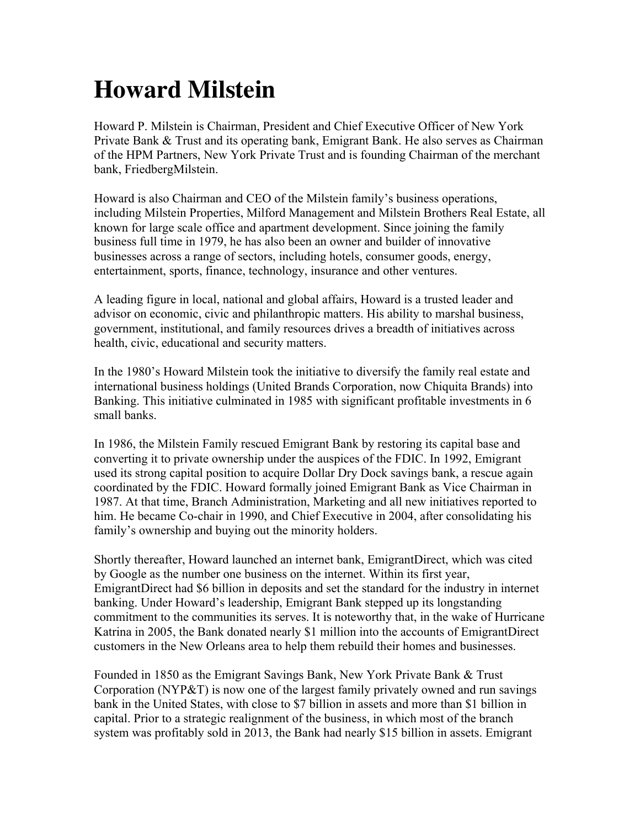## **Howard Milstein**

Howard P. Milstein is Chairman, President and Chief Executive Officer of New York Private Bank & Trust and its operating bank, Emigrant Bank. He also serves as Chairman of the HPM Partners, New York Private Trust and is founding Chairman of the merchant bank, FriedbergMilstein.

Howard is also Chairman and CEO of the Milstein family's business operations, including Milstein Properties, Milford Management and Milstein Brothers Real Estate, all known for large scale office and apartment development. Since joining the family business full time in 1979, he has also been an owner and builder of innovative businesses across a range of sectors, including hotels, consumer goods, energy, entertainment, sports, finance, technology, insurance and other ventures.

A leading figure in local, national and global affairs, Howard is a trusted leader and advisor on economic, civic and philanthropic matters. His ability to marshal business, government, institutional, and family resources drives a breadth of initiatives across health, civic, educational and security matters.

In the 1980's Howard Milstein took the initiative to diversify the family real estate and international business holdings (United Brands Corporation, now Chiquita Brands) into Banking. This initiative culminated in 1985 with significant profitable investments in 6 small banks.

In 1986, the Milstein Family rescued Emigrant Bank by restoring its capital base and converting it to private ownership under the auspices of the FDIC. In 1992, Emigrant used its strong capital position to acquire Dollar Dry Dock savings bank, a rescue again coordinated by the FDIC. Howard formally joined Emigrant Bank as Vice Chairman in 1987. At that time, Branch Administration, Marketing and all new initiatives reported to him. He became Co-chair in 1990, and Chief Executive in 2004, after consolidating his family's ownership and buying out the minority holders.

Shortly thereafter, Howard launched an internet bank, EmigrantDirect, which was cited by Google as the number one business on the internet. Within its first year, EmigrantDirect had \$6 billion in deposits and set the standard for the industry in internet banking. Under Howard's leadership, Emigrant Bank stepped up its longstanding commitment to the communities its serves. It is noteworthy that, in the wake of Hurricane Katrina in 2005, the Bank donated nearly \$1 million into the accounts of EmigrantDirect customers in the New Orleans area to help them rebuild their homes and businesses.

Founded in 1850 as the Emigrant Savings Bank, New York Private Bank & Trust Corporation (NYP&T) is now one of the largest family privately owned and run savings bank in the United States, with close to \$7 billion in assets and more than \$1 billion in capital. Prior to a strategic realignment of the business, in which most of the branch system was profitably sold in 2013, the Bank had nearly \$15 billion in assets. Emigrant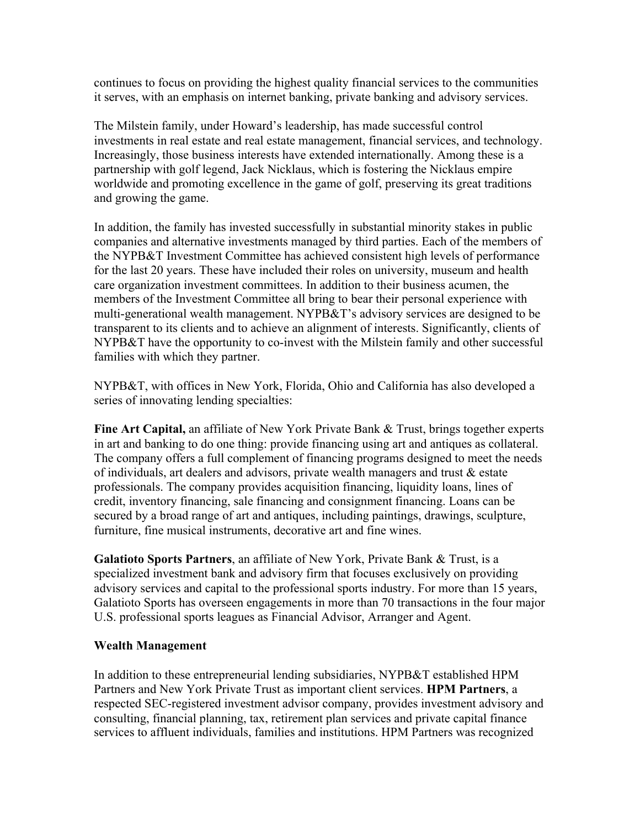continues to focus on providing the highest quality financial services to the communities it serves, with an emphasis on internet banking, private banking and advisory services.

The Milstein family, under Howard's leadership, has made successful control investments in real estate and real estate management, financial services, and technology. Increasingly, those business interests have extended internationally. Among these is a partnership with golf legend, Jack Nicklaus, which is fostering the Nicklaus empire worldwide and promoting excellence in the game of golf, preserving its great traditions and growing the game.

In addition, the family has invested successfully in substantial minority stakes in public companies and alternative investments managed by third parties. Each of the members of the NYPB&T Investment Committee has achieved consistent high levels of performance for the last 20 years. These have included their roles on university, museum and health care organization investment committees. In addition to their business acumen, the members of the Investment Committee all bring to bear their personal experience with multi-generational wealth management. NYPB&T's advisory services are designed to be transparent to its clients and to achieve an alignment of interests. Significantly, clients of NYPB&T have the opportunity to co-invest with the Milstein family and other successful families with which they partner.

NYPB&T, with offices in New York, Florida, Ohio and California has also developed a series of innovating lending specialties:

**Fine Art Capital,** an affiliate of New York Private Bank & Trust, brings together experts in art and banking to do one thing: provide financing using art and antiques as collateral. The company offers a full complement of financing programs designed to meet the needs of individuals, art dealers and advisors, private wealth managers and trust & estate professionals. The company provides acquisition financing, liquidity loans, lines of credit, inventory financing, sale financing and consignment financing. Loans can be secured by a broad range of art and antiques, including paintings, drawings, sculpture, furniture, fine musical instruments, decorative art and fine wines.

**Galatioto Sports Partners**, an affiliate of New York, Private Bank & Trust, is a specialized investment bank and advisory firm that focuses exclusively on providing advisory services and capital to the professional sports industry. For more than 15 years, Galatioto Sports has overseen engagements in more than 70 transactions in the four major U.S. professional sports leagues as Financial Advisor, Arranger and Agent.

## **Wealth Management**

In addition to these entrepreneurial lending subsidiaries, NYPB&T established HPM Partners and New York Private Trust as important client services. **HPM Partners**, a respected SEC-registered investment advisor company, provides investment advisory and consulting, financial planning, tax, retirement plan services and private capital finance services to affluent individuals, families and institutions. HPM Partners was recognized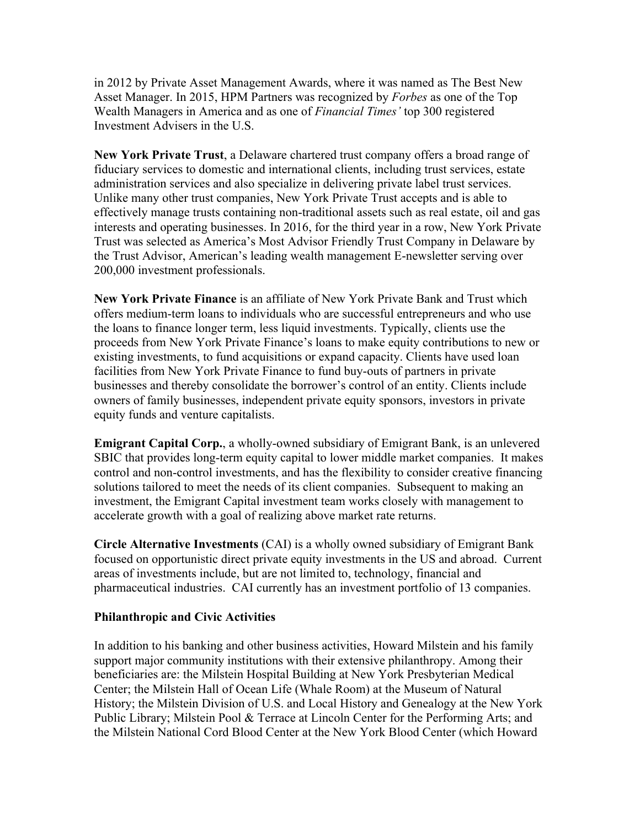in 2012 by Private Asset Management Awards, where it was named as The Best New Asset Manager. In 2015, HPM Partners was recognized by *Forbes* as one of the Top Wealth Managers in America and as one of *Financial Times'* top 300 registered Investment Advisers in the U.S.

**New York Private Trust**, a Delaware chartered trust company offers a broad range of fiduciary services to domestic and international clients, including trust services, estate administration services and also specialize in delivering private label trust services. Unlike many other trust companies, New York Private Trust accepts and is able to effectively manage trusts containing non-traditional assets such as real estate, oil and gas interests and operating businesses. In 2016, for the third year in a row, New York Private Trust was selected as America's Most Advisor Friendly Trust Company in Delaware by the Trust Advisor, American's leading wealth management E-newsletter serving over 200,000 investment professionals.

**New York Private Finance** is an affiliate of New York Private Bank and Trust which offers medium-term loans to individuals who are successful entrepreneurs and who use the loans to finance longer term, less liquid investments. Typically, clients use the proceeds from New York Private Finance's loans to make equity contributions to new or existing investments, to fund acquisitions or expand capacity. Clients have used loan facilities from New York Private Finance to fund buy-outs of partners in private businesses and thereby consolidate the borrower's control of an entity. Clients include owners of family businesses, independent private equity sponsors, investors in private equity funds and venture capitalists.

**Emigrant Capital Corp.**, a wholly-owned subsidiary of Emigrant Bank, is an unlevered SBIC that provides long-term equity capital to lower middle market companies. It makes control and non-control investments, and has the flexibility to consider creative financing solutions tailored to meet the needs of its client companies. Subsequent to making an investment, the Emigrant Capital investment team works closely with management to accelerate growth with a goal of realizing above market rate returns.

**Circle Alternative Investments** (CAI) is a wholly owned subsidiary of Emigrant Bank focused on opportunistic direct private equity investments in the US and abroad. Current areas of investments include, but are not limited to, technology, financial and pharmaceutical industries. CAI currently has an investment portfolio of 13 companies.

## **Philanthropic and Civic Activities**

In addition to his banking and other business activities, Howard Milstein and his family support major community institutions with their extensive philanthropy. Among their beneficiaries are: the Milstein Hospital Building at New York Presbyterian Medical Center; the Milstein Hall of Ocean Life (Whale Room) at the Museum of Natural History; the Milstein Division of U.S. and Local History and Genealogy at the New York Public Library; Milstein Pool & Terrace at Lincoln Center for the Performing Arts; and the Milstein National Cord Blood Center at the New York Blood Center (which Howard